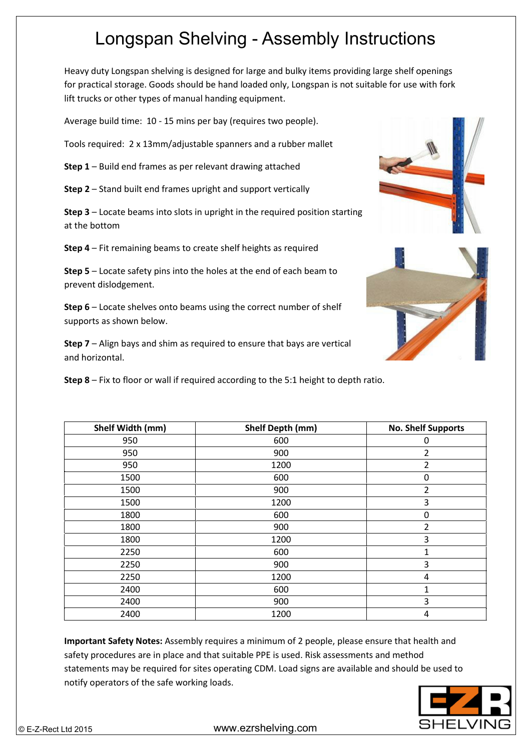## Longspan Shelving - Assembly Instructions

Heavy duty Longspan shelving is designed for large and bulky items providing large shelf openings for practical storage. Goods should be hand loaded only, Longspan is not suitable for use with fork lift trucks or other types of manual handing equipment.

Average build time: 10 - 15 mins per bay (requires two people).

Tools required: 2 x 13mm/adjustable spanners and a rubber mallet

**Step 1** – Build end frames as per relevant drawing attached

**Step 2** – Stand built end frames upright and support vertically

**Step 3** – Locate beams into slots in upright in the required position starting at the bottom

**Step 4** – Fit remaining beams to create shelf heights as required

**Step 5** – Locate safety pins into the holes at the end of each beam to prevent dislodgement.

**Step 6** – Locate shelves onto beams using the correct number of shelf supports as shown below.

**Step 7** – Align bays and shim as required to ensure that bays are vertical and horizontal.

**Step 8** – Fix to floor or wall if required according to the 5:1 height to depth ratio.

| Shelf Width (mm) | Shelf Depth (mm) | <b>No. Shelf Supports</b> |
|------------------|------------------|---------------------------|
| 950              | 600              | 0                         |
| 950              | 900              | 2                         |
| 950              | 1200             | 2                         |
| 1500             | 600              | 0                         |
| 1500             | 900              | 2                         |
| 1500             | 1200             | 3                         |
| 1800             | 600              | 0                         |
| 1800             | 900              | 2                         |
| 1800             | 1200             | $\mathbf{3}$              |
| 2250             | 600              | 1                         |
| 2250             | 900              | 3                         |
| 2250             | 1200             | 4                         |
| 2400             | 600              | 1                         |
| 2400             | 900              | 3                         |
| 2400             | 1200             | 4                         |

**Important Safety Notes:** Assembly requires a minimum of 2 people, please ensure that health and safety procedures are in place and that suitable PPE is used. Risk assessments and method statements may be required for sites operating CDM. Load signs are available and should be used to notify operators of the safe working loads.





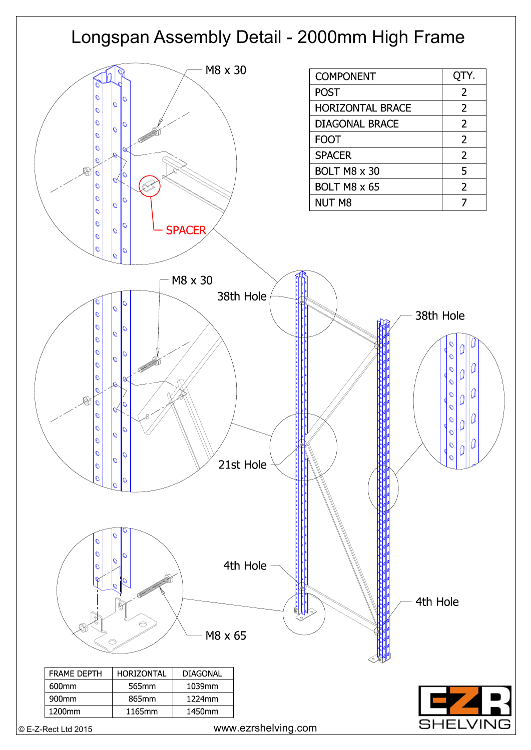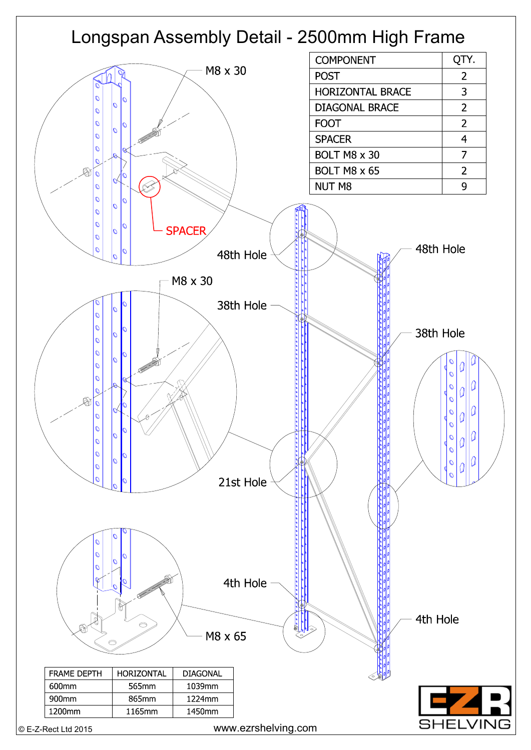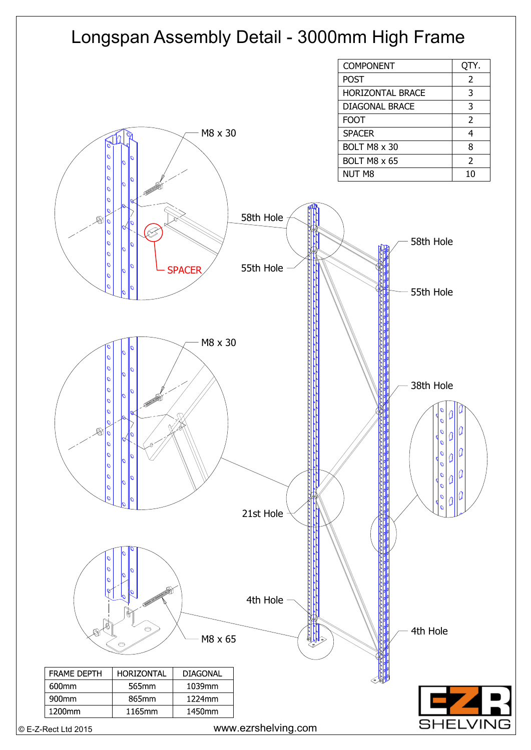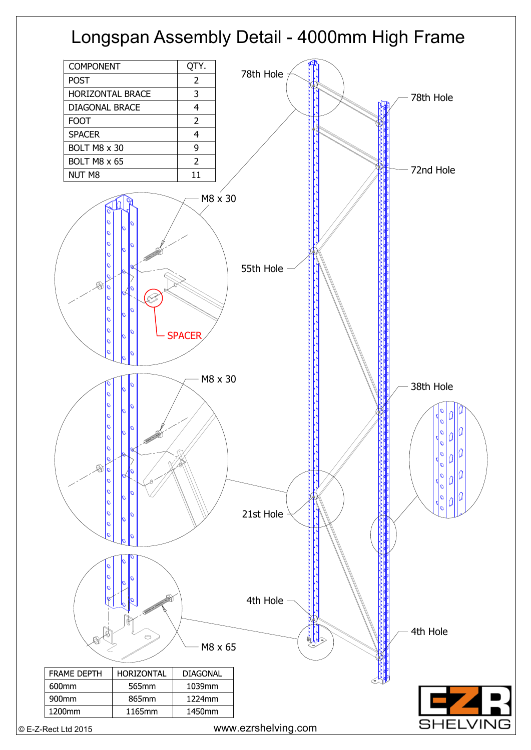## Longspan Assembly Detail - 4000mm High Frame